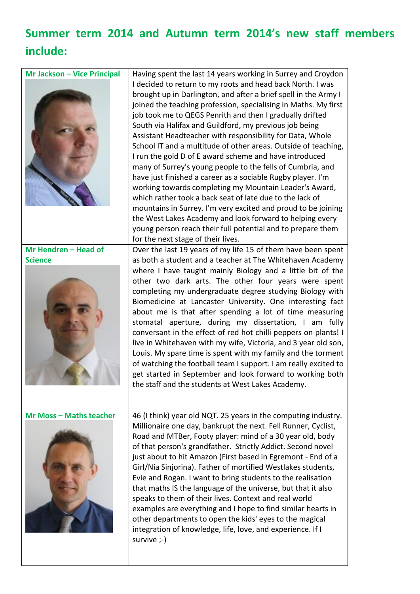## **Summer term 2014 and Autumn term 2014's new staff members include:**

| <b>Mr Jackson - Vice Principal</b> | Having spent the last 14 years working in Surrey and Croydon<br>I decided to return to my roots and head back North. I was<br>brought up in Darlington, and after a brief spell in the Army I<br>joined the teaching profession, specialising in Maths. My first<br>job took me to QEGS Penrith and then I gradually drifted<br>South via Halifax and Guildford, my previous job being<br>Assistant Headteacher with responsibility for Data, Whole<br>School IT and a multitude of other areas. Outside of teaching,<br>I run the gold D of E award scheme and have introduced<br>many of Surrey's young people to the fells of Cumbria, and<br>have just finished a career as a sociable Rugby player. I'm<br>working towards completing my Mountain Leader's Award,<br>which rather took a back seat of late due to the lack of<br>mountains in Surrey. I'm very excited and proud to be joining<br>the West Lakes Academy and look forward to helping every<br>young person reach their full potential and to prepare them<br>for the next stage of their lives. |
|------------------------------------|----------------------------------------------------------------------------------------------------------------------------------------------------------------------------------------------------------------------------------------------------------------------------------------------------------------------------------------------------------------------------------------------------------------------------------------------------------------------------------------------------------------------------------------------------------------------------------------------------------------------------------------------------------------------------------------------------------------------------------------------------------------------------------------------------------------------------------------------------------------------------------------------------------------------------------------------------------------------------------------------------------------------------------------------------------------------|
| Mr Hendren - Head of               | Over the last 19 years of my life 15 of them have been spent                                                                                                                                                                                                                                                                                                                                                                                                                                                                                                                                                                                                                                                                                                                                                                                                                                                                                                                                                                                                         |
| <b>Science</b>                     | as both a student and a teacher at The Whitehaven Academy<br>where I have taught mainly Biology and a little bit of the<br>other two dark arts. The other four years were spent<br>completing my undergraduate degree studying Biology with<br>Biomedicine at Lancaster University. One interesting fact<br>about me is that after spending a lot of time measuring<br>stomatal aperture, during my dissertation, I am fully<br>conversant in the effect of red hot chilli peppers on plants! I<br>live in Whitehaven with my wife, Victoria, and 3 year old son,<br>Louis. My spare time is spent with my family and the torment<br>of watching the football team I support. I am really excited to<br>get started in September and look forward to working both<br>the staff and the students at West Lakes Academy.                                                                                                                                                                                                                                               |
| <b>Mr Moss - Maths teacher</b>     | 46 (I think) year old NQT. 25 years in the computing industry.<br>Millionaire one day, bankrupt the next. Fell Runner, Cyclist,<br>Road and MTBer, Footy player: mind of a 30 year old, body<br>of that person's grandfather. Strictly Addict. Second novel<br>just about to hit Amazon (First based in Egremont - End of a<br>Girl/Nia Sinjorina). Father of mortified Westlakes students,<br>Evie and Rogan. I want to bring students to the realisation<br>that maths IS the language of the universe, but that it also<br>speaks to them of their lives. Context and real world<br>examples are everything and I hope to find similar hearts in<br>other departments to open the kids' eyes to the magical<br>integration of knowledge, life, love, and experience. If I<br>survive ;-)                                                                                                                                                                                                                                                                          |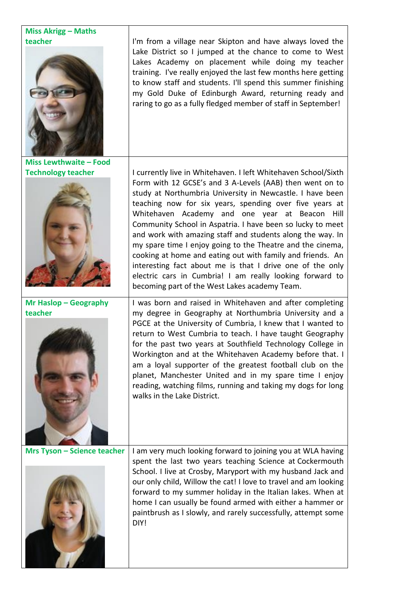| <b>Miss Akrigg - Maths</b>         |                                                                                                                                                                                                                                                                                                                                                                                                                                                                                                                                                                                                                                                                                                                                        |
|------------------------------------|----------------------------------------------------------------------------------------------------------------------------------------------------------------------------------------------------------------------------------------------------------------------------------------------------------------------------------------------------------------------------------------------------------------------------------------------------------------------------------------------------------------------------------------------------------------------------------------------------------------------------------------------------------------------------------------------------------------------------------------|
| teacher                            | I'm from a village near Skipton and have always loved the<br>Lake District so I jumped at the chance to come to West<br>Lakes Academy on placement while doing my teacher<br>training. I've really enjoyed the last few months here getting<br>to know staff and students. I'll spend this summer finishing<br>my Gold Duke of Edinburgh Award, returning ready and<br>raring to go as a fully fledged member of staff in September!                                                                                                                                                                                                                                                                                                   |
| <b>Miss Lewthwaite - Food</b>      |                                                                                                                                                                                                                                                                                                                                                                                                                                                                                                                                                                                                                                                                                                                                        |
| <b>Technology teacher</b>          | I currently live in Whitehaven. I left Whitehaven School/Sixth<br>Form with 12 GCSE's and 3 A-Levels (AAB) then went on to<br>study at Northumbria University in Newcastle. I have been<br>teaching now for six years, spending over five years at<br>Whitehaven Academy and one year at Beacon Hill<br>Community School in Aspatria. I have been so lucky to meet<br>and work with amazing staff and students along the way. In<br>my spare time I enjoy going to the Theatre and the cinema,<br>cooking at home and eating out with family and friends. An<br>interesting fact about me is that I drive one of the only<br>electric cars in Cumbria! I am really looking forward to<br>becoming part of the West Lakes academy Team. |
| Mr Haslop - Geography              | I was born and raised in Whitehaven and after completing                                                                                                                                                                                                                                                                                                                                                                                                                                                                                                                                                                                                                                                                               |
| teacher                            | my degree in Geography at Northumbria University and a<br>PGCE at the University of Cumbria, I knew that I wanted to<br>return to West Cumbria to teach. I have taught Geography<br>for the past two years at Southfield Technology College in<br>Workington and at the Whitehaven Academy before that. I<br>am a loyal supporter of the greatest football club on the<br>planet, Manchester United and in my spare time I enjoy<br>reading, watching films, running and taking my dogs for long<br>walks in the Lake District.                                                                                                                                                                                                        |
| <b>Mrs Tyson - Science teacher</b> | I am very much looking forward to joining you at WLA having<br>spent the last two years teaching Science at Cockermouth<br>School. I live at Crosby, Maryport with my husband Jack and<br>our only child, Willow the cat! I love to travel and am looking<br>forward to my summer holiday in the Italian lakes. When at<br>home I can usually be found armed with either a hammer or<br>paintbrush as I slowly, and rarely successfully, attempt some<br>DIY!                                                                                                                                                                                                                                                                          |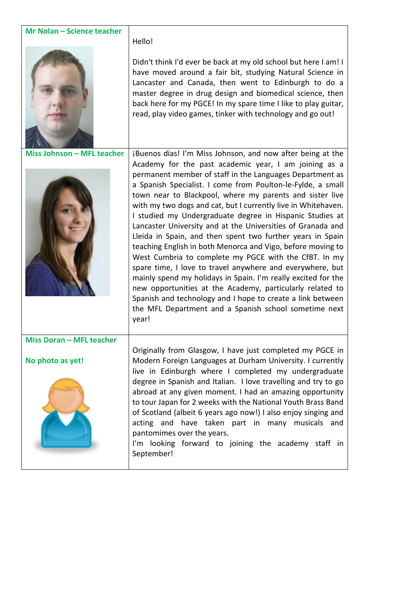| Mr Nolan - Science teacher      |                                                                                                                                                                                                                                                                                                                                                                                                                                                                                                                                                                                                                                                                                                                                                                                                                                                                                                                                                                                                                         |
|---------------------------------|-------------------------------------------------------------------------------------------------------------------------------------------------------------------------------------------------------------------------------------------------------------------------------------------------------------------------------------------------------------------------------------------------------------------------------------------------------------------------------------------------------------------------------------------------------------------------------------------------------------------------------------------------------------------------------------------------------------------------------------------------------------------------------------------------------------------------------------------------------------------------------------------------------------------------------------------------------------------------------------------------------------------------|
|                                 | Hello!                                                                                                                                                                                                                                                                                                                                                                                                                                                                                                                                                                                                                                                                                                                                                                                                                                                                                                                                                                                                                  |
|                                 | Didn't think I'd ever be back at my old school but here I am! I<br>have moved around a fair bit, studying Natural Science in<br>Lancaster and Canada, then went to Edinburgh to do a<br>master degree in drug design and biomedical science, then<br>back here for my PGCE! In my spare time I like to play guitar,<br>read, play video games, tinker with technology and go out!                                                                                                                                                                                                                                                                                                                                                                                                                                                                                                                                                                                                                                       |
| Miss Johnson - MFL teacher      | jBuenos días! I'm Miss Johnson, and now after being at the<br>Academy for the past academic year, I am joining as a<br>permanent member of staff in the Languages Department as<br>a Spanish Specialist. I come from Poulton-le-Fylde, a small<br>town near to Blackpool, where my parents and sister live<br>with my two dogs and cat, but I currently live in Whitehaven.<br>I studied my Undergraduate degree in Hispanic Studies at<br>Lancaster University and at the Universities of Granada and<br>Lleida in Spain, and then spent two further years in Spain<br>teaching English in both Menorca and Vigo, before moving to<br>West Cumbria to complete my PGCE with the CfBT. In my<br>spare time, I love to travel anywhere and everywhere, but<br>mainly spend my holidays in Spain. I'm really excited for the<br>new opportunities at the Academy, particularly related to<br>Spanish and technology and I hope to create a link between<br>the MFL Department and a Spanish school sometime next<br>year! |
| <b>Miss Doran - MFL teacher</b> |                                                                                                                                                                                                                                                                                                                                                                                                                                                                                                                                                                                                                                                                                                                                                                                                                                                                                                                                                                                                                         |
| No photo as yet!                | Originally from Glasgow, I have just completed my PGCE in<br>Modern Foreign Languages at Durham University. I currently<br>live in Edinburgh where I completed my undergraduate<br>degree in Spanish and Italian. I love travelling and try to go<br>abroad at any given moment. I had an amazing opportunity<br>to tour Japan for 2 weeks with the National Youth Brass Band<br>of Scotland (albeit 6 years ago now!) I also enjoy singing and<br>acting and have taken part in many musicals and<br>pantomimes over the years.<br>I'm looking forward to joining the academy staff in<br>September!                                                                                                                                                                                                                                                                                                                                                                                                                   |